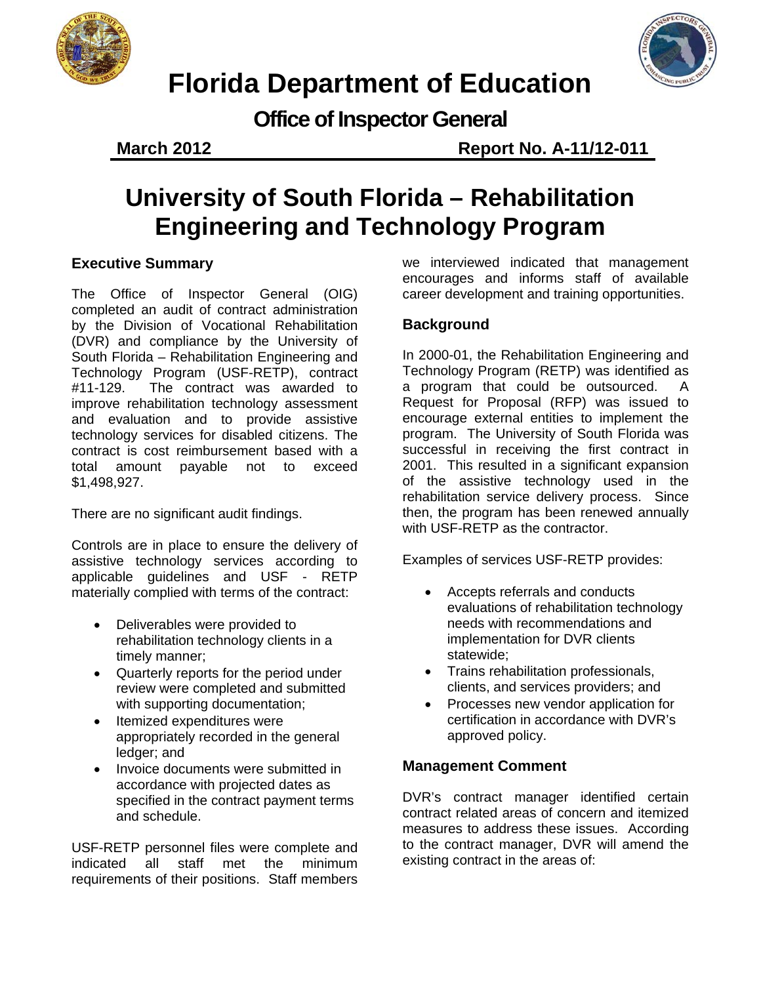



# **Florida Department of Education**

**Office of Inspector General**

**March 2012 Report No. A-11/12-011**

# **University of South Florida – Rehabilitation Engineering and Technology Program**

### **Executive Summary**

The Office of Inspector General (OIG) completed an audit of contract administration by the Division of Vocational Rehabilitation (DVR) and compliance by the University of South Florida – Rehabilitation Engineering and Technology Program (USF-RETP), contract #11-129. The contract was awarded to improve rehabilitation technology assessment and evaluation and to provide assistive technology services for disabled citizens. The contract is cost reimbursement based with a total amount payable not to exceed \$1,498,927.

There are no significant audit findings.

Controls are in place to ensure the delivery of assistive technology services according to applicable guidelines and USF - RETP materially complied with terms of the contract:

- Deliverables were provided to rehabilitation technology clients in a timely manner;
- Quarterly reports for the period under review were completed and submitted with supporting documentation;
- Itemized expenditures were appropriately recorded in the general ledger; and
- Invoice documents were submitted in accordance with projected dates as specified in the contract payment terms and schedule.

USF-RETP personnel files were complete and indicated all staff met the minimum requirements of their positions. Staff members

we interviewed indicated that management encourages and informs staff of available career development and training opportunities.

### **Background**

In 2000-01, the Rehabilitation Engineering and Technology Program (RETP) was identified as a program that could be outsourced. A Request for Proposal (RFP) was issued to encourage external entities to implement the program. The University of South Florida was successful in receiving the first contract in 2001. This resulted in a significant expansion of the assistive technology used in the rehabilitation service delivery process. Since then, the program has been renewed annually with USF-RETP as the contractor.

Examples of services USF-RETP provides:

- Accepts referrals and conducts evaluations of rehabilitation technology needs with recommendations and implementation for DVR clients statewide;
- Trains rehabilitation professionals, clients, and services providers; and
- Processes new vendor application for certification in accordance with DVR's approved policy.

#### **Management Comment**

DVR's contract manager identified certain contract related areas of concern and itemized measures to address these issues. According to the contract manager, DVR will amend the existing contract in the areas of: